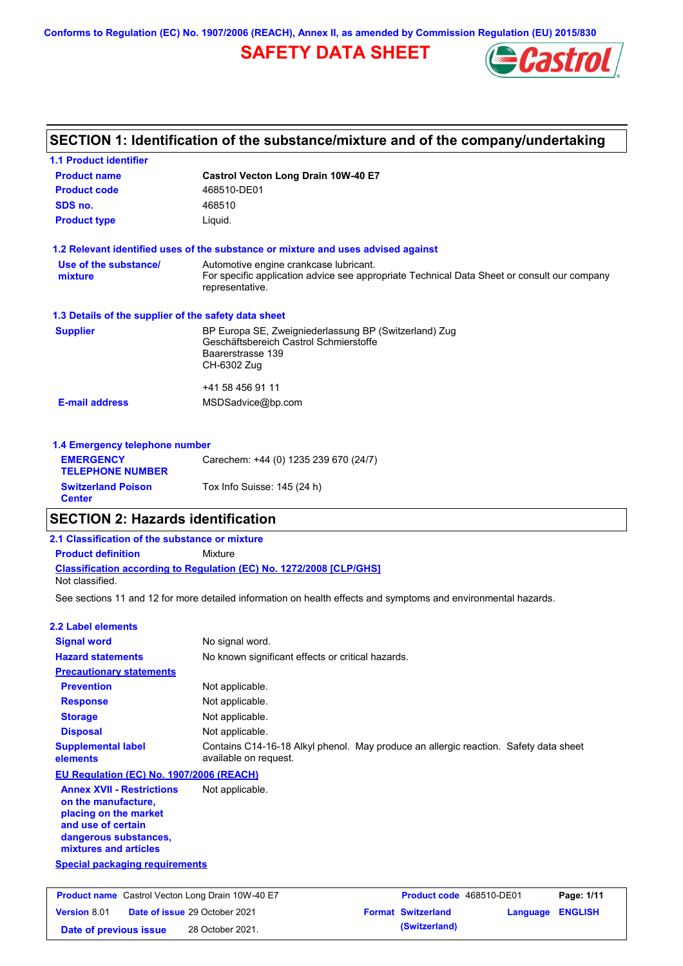**Conforms to Regulation (EC) No. 1907/2006 (REACH), Annex II, as amended by Commission Regulation (EU) 2015/830**

# **SAFETY DATA SHEET**



# **SECTION 1: Identification of the substance/mixture and of the company/undertaking**

| <b>1.1 Product identifier</b>                        |                                                                                                                |
|------------------------------------------------------|----------------------------------------------------------------------------------------------------------------|
| <b>Product name</b>                                  | Castrol Vecton Long Drain 10W-40 E7                                                                            |
| <b>Product code</b>                                  | 468510-DE01                                                                                                    |
| SDS no.                                              | 468510                                                                                                         |
| <b>Product type</b>                                  | Liquid.                                                                                                        |
|                                                      | 1.2 Relevant identified uses of the substance or mixture and uses advised against                              |
| Use of the substance/                                | Automotive engine crankcase lubricant.                                                                         |
| mixture                                              | For specific application advice see appropriate Technical Data Sheet or consult our company<br>representative. |
| 1.3 Details of the supplier of the safety data sheet |                                                                                                                |
| <b>Supplier</b>                                      | BP Europa SE, Zweigniederlassung BP (Switzerland) Zug                                                          |
|                                                      | Geschäftsbereich Castrol Schmierstoffe<br>Baarerstrasse 139                                                    |
|                                                      | CH-6302 Zug                                                                                                    |
|                                                      | +41 58 456 91 11                                                                                               |
| <b>E-mail address</b>                                | MSDSadvice@bp.com                                                                                              |
| 1.4 Emergency telephone number                       |                                                                                                                |
| <b>EMERGENCY</b>                                     | Carechem: +44 (0) 1235 239 670 (24/7)                                                                          |
| <b>TELEPHONE NUMBER</b>                              |                                                                                                                |

### **SECTION 2: Hazards identification**

**Switzerland Poison Tox Info Suisse: 145 (24 h)** 

### **Classification according to Regulation (EC) No. 1272/2008 [CLP/GHS] 2.1 Classification of the substance or mixture Product definition** Mixture Not classified.

See sections 11 and 12 for more detailed information on health effects and symptoms and environmental hazards.

### **2.2 Label elements**

**Center**

| <b>Signal word</b>                                                                                                                                       | No signal word.                                                                                               |
|----------------------------------------------------------------------------------------------------------------------------------------------------------|---------------------------------------------------------------------------------------------------------------|
| <b>Hazard statements</b>                                                                                                                                 | No known significant effects or critical hazards.                                                             |
| <b>Precautionary statements</b>                                                                                                                          |                                                                                                               |
| <b>Prevention</b>                                                                                                                                        | Not applicable.                                                                                               |
| <b>Response</b>                                                                                                                                          | Not applicable.                                                                                               |
| <b>Storage</b>                                                                                                                                           | Not applicable.                                                                                               |
| <b>Disposal</b>                                                                                                                                          | Not applicable.                                                                                               |
| <b>Supplemental label</b><br>elements                                                                                                                    | Contains C14-16-18 Alkyl phenol. May produce an allergic reaction. Safety data sheet<br>available on request. |
| EU Regulation (EC) No. 1907/2006 (REACH)                                                                                                                 |                                                                                                               |
| <b>Annex XVII - Restrictions</b><br>on the manufacture,<br>placing on the market<br>and use of certain<br>dangerous substances,<br>mixtures and articles | Not applicable.                                                                                               |
| <b>Special packaging requirements</b>                                                                                                                    |                                                                                                               |
|                                                                                                                                                          |                                                                                                               |
|                                                                                                                                                          |                                                                                                               |

|                        | <b>Product name</b> Castrol Vecton Long Drain 10W-40 E7 | Product code 468510-DE01  |                  | Page: 1/11 |
|------------------------|---------------------------------------------------------|---------------------------|------------------|------------|
| <b>Version 8.01</b>    | <b>Date of issue 29 October 2021</b>                    | <b>Format Switzerland</b> | Language ENGLISH |            |
| Date of previous issue | 28 October 2021.                                        | (Switzerland)             |                  |            |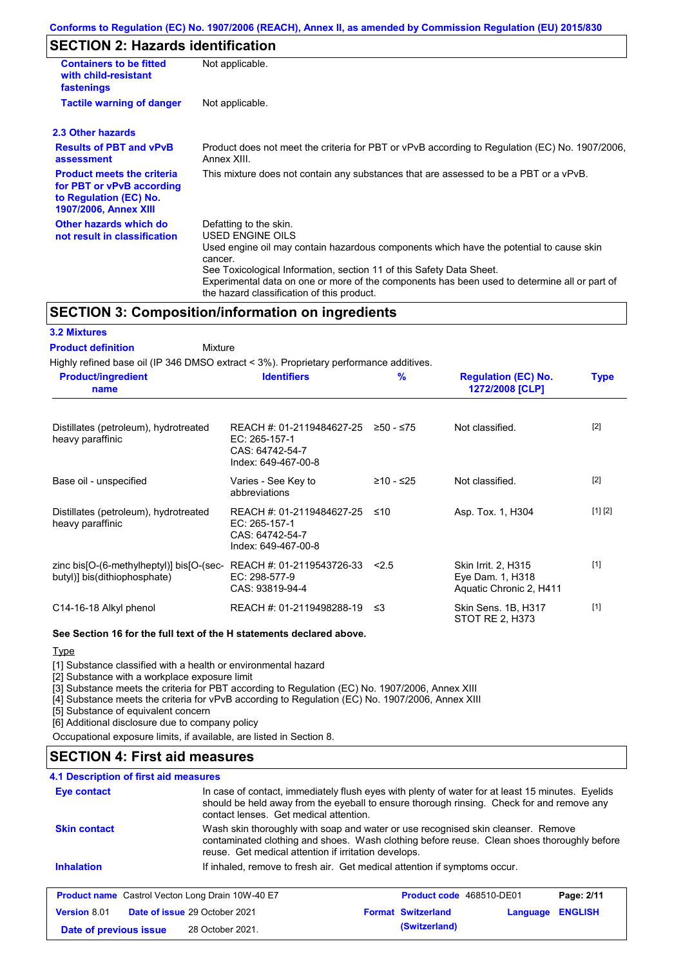# **SECTION 2: Hazards identification**

| <b>Containers to be fitted</b><br>with child-resistant<br>fastenings                                                     | Not applicable.                                                                                                                                                                                                                                                                                                                                                               |
|--------------------------------------------------------------------------------------------------------------------------|-------------------------------------------------------------------------------------------------------------------------------------------------------------------------------------------------------------------------------------------------------------------------------------------------------------------------------------------------------------------------------|
| <b>Tactile warning of danger</b>                                                                                         | Not applicable.                                                                                                                                                                                                                                                                                                                                                               |
| 2.3 Other hazards                                                                                                        |                                                                                                                                                                                                                                                                                                                                                                               |
| <b>Results of PBT and vPvB</b><br>assessment                                                                             | Product does not meet the criteria for PBT or vPvB according to Regulation (EC) No. 1907/2006,<br>Annex XIII.                                                                                                                                                                                                                                                                 |
| <b>Product meets the criteria</b><br>for PBT or vPvB according<br>to Regulation (EC) No.<br><b>1907/2006, Annex XIII</b> | This mixture does not contain any substances that are assessed to be a PBT or a vPvB.                                                                                                                                                                                                                                                                                         |
| Other hazards which do<br>not result in classification                                                                   | Defatting to the skin.<br><b>USED ENGINE OILS</b><br>Used engine oil may contain hazardous components which have the potential to cause skin<br>cancer.<br>See Toxicological Information, section 11 of this Safety Data Sheet.<br>Experimental data on one or more of the components has been used to determine all or part of<br>the hazard classification of this product. |

# **SECTION 3: Composition/information on ingredients**

| <b>3.2 Mixtures</b>                                                                    |                                                                                      |             |                                                                    |             |
|----------------------------------------------------------------------------------------|--------------------------------------------------------------------------------------|-------------|--------------------------------------------------------------------|-------------|
| <b>Product definition</b><br>Mixture                                                   |                                                                                      |             |                                                                    |             |
| Highly refined base oil (IP 346 DMSO extract < 3%). Proprietary performance additives. |                                                                                      |             |                                                                    |             |
| <b>Product/ingredient</b><br>name                                                      | <b>Identifiers</b>                                                                   | %           | <b>Regulation (EC) No.</b><br>1272/2008 [CLP]                      | <b>Type</b> |
| Distillates (petroleum), hydrotreated<br>heavy paraffinic                              | REACH #: 01-2119484627-25<br>EC: 265-157-1<br>CAS: 64742-54-7<br>Index: 649-467-00-8 | $≥50 - ≤75$ | Not classified.                                                    | $[2]$       |
| Base oil - unspecified                                                                 | Varies - See Key to<br>abbreviations                                                 | ≥10 - ≤25   | Not classified.                                                    | $[2]$       |
| Distillates (petroleum), hydrotreated<br>heavy paraffinic                              | REACH #: 01-2119484627-25<br>EC: 265-157-1<br>CAS: 64742-54-7<br>Index: 649-467-00-8 | ≤10         | Asp. Tox. 1, H304                                                  | [1] [2]     |
| zinc bis[O-(6-methylheptyl)] bis[O-(sec-<br>butyl)] bis(dithiophosphate)               | REACH #: 01-2119543726-33<br>EC: 298-577-9<br>CAS: 93819-94-4                        | 2.5         | Skin Irrit. 2, H315<br>Eye Dam. 1, H318<br>Aquatic Chronic 2, H411 | $[1]$       |
| C14-16-18 Alkyl phenol                                                                 | REACH #: 01-2119498288-19                                                            | ≤3          | Skin Sens. 1B, H317<br>STOT RE 2, H373                             | $[1]$       |

#### **See Section 16 for the full text of the H statements declared above.**

**Type** 

[1] Substance classified with a health or environmental hazard

[2] Substance with a workplace exposure limit

[3] Substance meets the criteria for PBT according to Regulation (EC) No. 1907/2006, Annex XIII

[4] Substance meets the criteria for vPvB according to Regulation (EC) No. 1907/2006, Annex XIII

[5] Substance of equivalent concern

[6] Additional disclosure due to company policy

Occupational exposure limits, if available, are listed in Section 8.

# **SECTION 4: First aid measures**

## **4.1 Description of first aid measures**

| <b>Eye contact</b>                                      | In case of contact, immediately flush eyes with plenty of water for at least 15 minutes. Eyelids<br>should be held away from the eyeball to ensure thorough rinsing. Check for and remove any<br>contact lenses. Get medical attention. |                                 |          |                |
|---------------------------------------------------------|-----------------------------------------------------------------------------------------------------------------------------------------------------------------------------------------------------------------------------------------|---------------------------------|----------|----------------|
| <b>Skin contact</b>                                     | Wash skin thoroughly with soap and water or use recognised skin cleanser. Remove<br>contaminated clothing and shoes. Wash clothing before reuse. Clean shoes thoroughly before<br>reuse. Get medical attention if irritation develops.  |                                 |          |                |
| <b>Inhalation</b>                                       | If inhaled, remove to fresh air. Get medical attention if symptoms occur.                                                                                                                                                               |                                 |          |                |
| <b>Product name</b> Castrol Vecton Long Drain 10W-40 E7 |                                                                                                                                                                                                                                         | <b>Product code</b> 468510-DE01 |          | Page: 2/11     |
| Version 8.01<br>Date of issue 29 October 2021           |                                                                                                                                                                                                                                         | <b>Format Switzerland</b>       | Language | <b>ENGLISH</b> |
| Date of previous issue                                  | 28 October 2021.                                                                                                                                                                                                                        | (Switzerland)                   |          |                |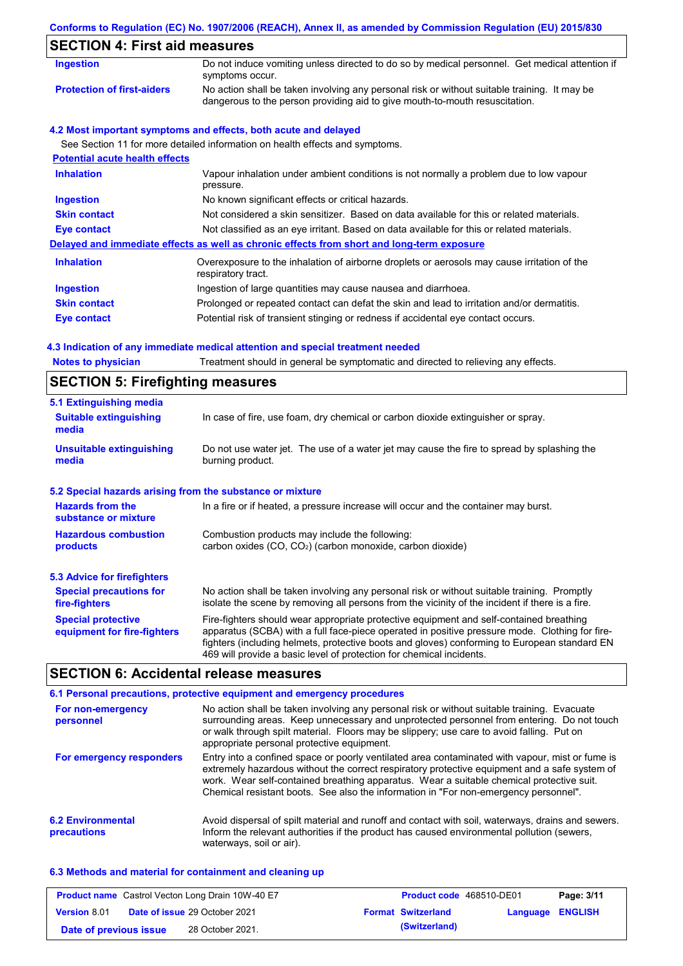|                                          | Conforms to Regulation (EC) No. 1907/2006 (REACH), Annex II, as amended by Commission Regulation (EU) 2015/830                                                              |
|------------------------------------------|-----------------------------------------------------------------------------------------------------------------------------------------------------------------------------|
| <b>SECTION 4: First aid measures</b>     |                                                                                                                                                                             |
| <b>Ingestion</b>                         | Do not induce vomiting unless directed to do so by medical personnel. Get medical attention if<br>symptoms occur.                                                           |
| <b>Protection of first-aiders</b>        | No action shall be taken involving any personal risk or without suitable training. It may be<br>dangerous to the person providing aid to give mouth-to-mouth resuscitation. |
|                                          | 4.2 Most important symptoms and effects, both acute and delayed                                                                                                             |
| <b>Potential acute health effects</b>    | See Section 11 for more detailed information on health effects and symptoms.                                                                                                |
| <b>Inhalation</b>                        | Vapour inhalation under ambient conditions is not normally a problem due to low vapour<br>pressure.                                                                         |
| <b>Ingestion</b>                         | No known significant effects or critical hazards.                                                                                                                           |
| <b>Skin contact</b>                      | Not considered a skin sensitizer. Based on data available for this or related materials.                                                                                    |
| <b>Eye contact</b>                       | Not classified as an eye irritant. Based on data available for this or related materials.                                                                                   |
|                                          | Delayed and immediate effects as well as chronic effects from short and long-term exposure                                                                                  |
| <b>Inhalation</b>                        | Overexposure to the inhalation of airborne droplets or aerosols may cause irritation of the<br>respiratory tract.                                                           |
| <b>Ingestion</b>                         | Ingestion of large quantities may cause nausea and diarrhoea.                                                                                                               |
| <b>Skin contact</b>                      | Prolonged or repeated contact can defat the skin and lead to irritation and/or dermatitis.                                                                                  |
| <b>Eye contact</b>                       | Potential risk of transient stinging or redness if accidental eye contact occurs.                                                                                           |
|                                          | 4.3 Indication of any immediate medical attention and special treatment needed                                                                                              |
| <b>Notes to physician</b>                | Treatment should in general be symptomatic and directed to relieving any effects.                                                                                           |
| <b>SECTION 5: Firefighting measures</b>  |                                                                                                                                                                             |
| 5.1 Extinguishing media                  |                                                                                                                                                                             |
| <b>Suitable extinguishing</b><br>media   | In case of fire, use foam, dry chemical or carbon dioxide extinguisher or spray.                                                                                            |
| <b>Unsuitable extinguishing</b><br>media | Do not use water jet. The use of a water jet may cause the fire to spread by splashing the<br>burning product.                                                              |
|                                          | 5.2 Special hazards arising from the substance or mixture                                                                                                                   |
| <b>Hazards from the</b>                  | In a fire or if heated, a pressure increase will occur and the container may burst.                                                                                         |

| substance or mixture        |                                                             |
|-----------------------------|-------------------------------------------------------------|
| <b>Hazardous combustion</b> | Combustion products may include the following:              |
| products                    | carbon oxides $(CO, CO2)$ (carbon monoxide, carbon dioxide) |

| 5.3 Advice for firefighters                              |                                                                                                                                                                                                                                                                                                                                                                   |
|----------------------------------------------------------|-------------------------------------------------------------------------------------------------------------------------------------------------------------------------------------------------------------------------------------------------------------------------------------------------------------------------------------------------------------------|
| <b>Special precautions for</b><br>fire-fighters          | No action shall be taken involving any personal risk or without suitable training. Promptly<br>isolate the scene by removing all persons from the vicinity of the incident if there is a fire.                                                                                                                                                                    |
| <b>Special protective</b><br>equipment for fire-fighters | Fire-fighters should wear appropriate protective equipment and self-contained breathing<br>apparatus (SCBA) with a full face-piece operated in positive pressure mode. Clothing for fire-<br>fighters (including helmets, protective boots and gloves) conforming to European standard EN<br>469 will provide a basic level of protection for chemical incidents. |

# **SECTION 6: Accidental release measures**

|                                         | 6.1 Personal precautions, protective equipment and emergency procedures                                                                                                                                                                                                                                                                                                              |
|-----------------------------------------|--------------------------------------------------------------------------------------------------------------------------------------------------------------------------------------------------------------------------------------------------------------------------------------------------------------------------------------------------------------------------------------|
| For non-emergency<br>personnel          | No action shall be taken involving any personal risk or without suitable training. Evacuate<br>surrounding areas. Keep unnecessary and unprotected personnel from entering. Do not touch<br>or walk through spilt material. Floors may be slippery; use care to avoid falling. Put on<br>appropriate personal protective equipment.                                                  |
| For emergency responders                | Entry into a confined space or poorly ventilated area contaminated with vapour, mist or fume is<br>extremely hazardous without the correct respiratory protective equipment and a safe system of<br>work. Wear self-contained breathing apparatus. Wear a suitable chemical protective suit.<br>Chemical resistant boots. See also the information in "For non-emergency personnel". |
| <b>6.2 Environmental</b><br>precautions | Avoid dispersal of spilt material and runoff and contact with soil, waterways, drains and sewers.<br>Inform the relevant authorities if the product has caused environmental pollution (sewers,<br>waterways, soil or air).                                                                                                                                                          |

### **6.3 Methods and material for containment and cleaning up**

| <b>Product name</b> Castrol Vecton Long Drain 10W-40 E7 |  |                                      | <b>Product code</b> 468510-DE01 |                         | Page: 3/11 |
|---------------------------------------------------------|--|--------------------------------------|---------------------------------|-------------------------|------------|
| <b>Version 8.01</b>                                     |  | <b>Date of issue 29 October 2021</b> | <b>Format Switzerland</b>       | <b>Language ENGLISH</b> |            |
| Date of previous issue                                  |  | 28 October 2021.                     | (Switzerland)                   |                         |            |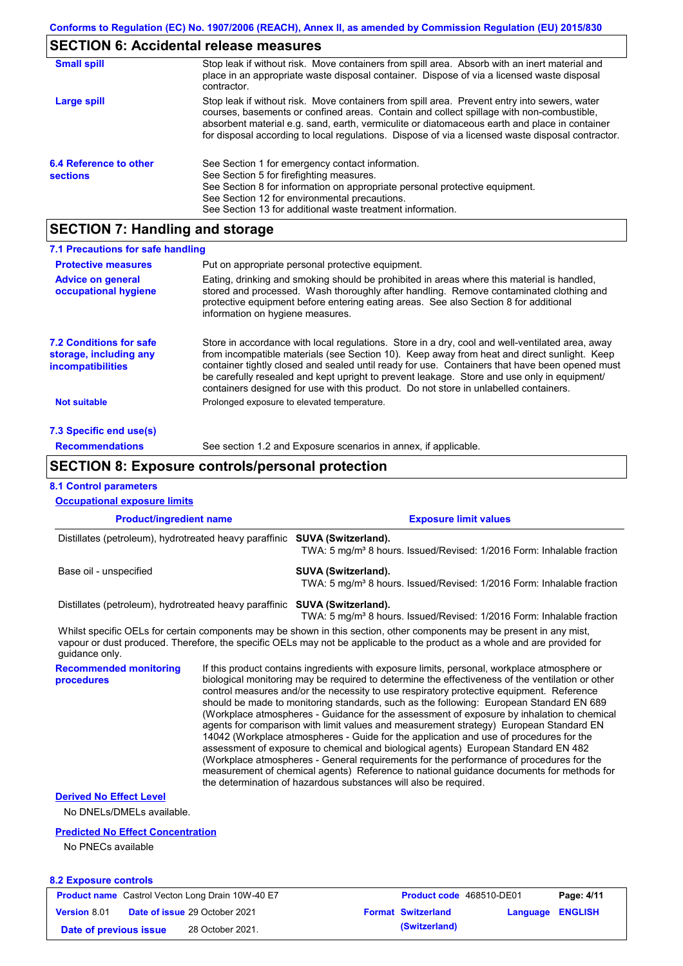# **SECTION 6: Accidental release measures**

| <b>Small spill</b>                        | Stop leak if without risk. Move containers from spill area. Absorb with an inert material and<br>place in an appropriate waste disposal container. Dispose of via a licensed waste disposal<br>contractor.                                                                                                                                                                                     |
|-------------------------------------------|------------------------------------------------------------------------------------------------------------------------------------------------------------------------------------------------------------------------------------------------------------------------------------------------------------------------------------------------------------------------------------------------|
| Large spill                               | Stop leak if without risk. Move containers from spill area. Prevent entry into sewers, water<br>courses, basements or confined areas. Contain and collect spillage with non-combustible,<br>absorbent material e.g. sand, earth, vermiculite or diatomaceous earth and place in container<br>for disposal according to local regulations. Dispose of via a licensed waste disposal contractor. |
| 6.4 Reference to other<br><b>sections</b> | See Section 1 for emergency contact information.<br>See Section 5 for firefighting measures.<br>See Section 8 for information on appropriate personal protective equipment.<br>See Section 12 for environmental precautions.<br>See Section 13 for additional waste treatment information.                                                                                                     |

# **SECTION 7: Handling and storage**

| 7.1 Precautions for safe handling                                                    |                                                                                                                                                                                                                                                                                                                                                                                                                                                                                          |
|--------------------------------------------------------------------------------------|------------------------------------------------------------------------------------------------------------------------------------------------------------------------------------------------------------------------------------------------------------------------------------------------------------------------------------------------------------------------------------------------------------------------------------------------------------------------------------------|
| <b>Protective measures</b>                                                           | Put on appropriate personal protective equipment.                                                                                                                                                                                                                                                                                                                                                                                                                                        |
| <b>Advice on general</b><br>occupational hygiene                                     | Eating, drinking and smoking should be prohibited in areas where this material is handled,<br>stored and processed. Wash thoroughly after handling. Remove contaminated clothing and<br>protective equipment before entering eating areas. See also Section 8 for additional<br>information on hygiene measures.                                                                                                                                                                         |
| <b>7.2 Conditions for safe</b><br>storage, including any<br><b>incompatibilities</b> | Store in accordance with local regulations. Store in a dry, cool and well-ventilated area, away<br>from incompatible materials (see Section 10). Keep away from heat and direct sunlight. Keep<br>container tightly closed and sealed until ready for use. Containers that have been opened must<br>be carefully resealed and kept upright to prevent leakage. Store and use only in equipment/<br>containers designed for use with this product. Do not store in unlabelled containers. |
| <b>Not suitable</b>                                                                  | Prolonged exposure to elevated temperature.                                                                                                                                                                                                                                                                                                                                                                                                                                              |
| 7.3 Specific end use(s)                                                              |                                                                                                                                                                                                                                                                                                                                                                                                                                                                                          |
| <b>Recommendations</b>                                                               | See section 1.2 and Exposure scenarios in annex, if applicable.                                                                                                                                                                                                                                                                                                                                                                                                                          |

## **SECTION 8: Exposure controls/personal protection**

### **8.1 Control parameters**

| <b>Occupational exposure limits</b>                                                                                                                                                                                                                                    |                               |                                                                                                                                                                                                                                                                                                                                                                                                                                                                                                                                                                                                                                                                                                                                                                                                                                                                                                                                                                                                                            |                                                                                                          |          |                |
|------------------------------------------------------------------------------------------------------------------------------------------------------------------------------------------------------------------------------------------------------------------------|-------------------------------|----------------------------------------------------------------------------------------------------------------------------------------------------------------------------------------------------------------------------------------------------------------------------------------------------------------------------------------------------------------------------------------------------------------------------------------------------------------------------------------------------------------------------------------------------------------------------------------------------------------------------------------------------------------------------------------------------------------------------------------------------------------------------------------------------------------------------------------------------------------------------------------------------------------------------------------------------------------------------------------------------------------------------|----------------------------------------------------------------------------------------------------------|----------|----------------|
| <b>Product/ingredient name</b>                                                                                                                                                                                                                                         |                               |                                                                                                                                                                                                                                                                                                                                                                                                                                                                                                                                                                                                                                                                                                                                                                                                                                                                                                                                                                                                                            | <b>Exposure limit values</b>                                                                             |          |                |
| Distillates (petroleum), hydrotreated heavy paraffinic SUVA (Switzerland).                                                                                                                                                                                             |                               | TWA: 5 mg/m <sup>3</sup> 8 hours. Issued/Revised: 1/2016 Form: Inhalable fraction                                                                                                                                                                                                                                                                                                                                                                                                                                                                                                                                                                                                                                                                                                                                                                                                                                                                                                                                          |                                                                                                          |          |                |
| Base oil - unspecified                                                                                                                                                                                                                                                 |                               |                                                                                                                                                                                                                                                                                                                                                                                                                                                                                                                                                                                                                                                                                                                                                                                                                                                                                                                                                                                                                            | SUVA (Switzerland).<br>TWA: 5 mg/m <sup>3</sup> 8 hours. Issued/Revised: 1/2016 Form: Inhalable fraction |          |                |
| Distillates (petroleum), hydrotreated heavy paraffinic SUVA (Switzerland).                                                                                                                                                                                             |                               | TWA: 5 mg/m <sup>3</sup> 8 hours. Issued/Revised: 1/2016 Form: Inhalable fraction                                                                                                                                                                                                                                                                                                                                                                                                                                                                                                                                                                                                                                                                                                                                                                                                                                                                                                                                          |                                                                                                          |          |                |
| Whilst specific OELs for certain components may be shown in this section, other components may be present in any mist,<br>vapour or dust produced. Therefore, the specific OELs may not be applicable to the product as a whole and are provided for<br>quidance only. |                               |                                                                                                                                                                                                                                                                                                                                                                                                                                                                                                                                                                                                                                                                                                                                                                                                                                                                                                                                                                                                                            |                                                                                                          |          |                |
| <b>Recommended monitoring</b><br>procedures                                                                                                                                                                                                                            |                               | If this product contains ingredients with exposure limits, personal, workplace atmosphere or<br>biological monitoring may be required to determine the effectiveness of the ventilation or other<br>control measures and/or the necessity to use respiratory protective equipment. Reference<br>should be made to monitoring standards, such as the following: European Standard EN 689<br>(Workplace atmospheres - Guidance for the assessment of exposure by inhalation to chemical<br>agents for comparison with limit values and measurement strategy) European Standard EN<br>14042 (Workplace atmospheres - Guide for the application and use of procedures for the<br>assessment of exposure to chemical and biological agents) European Standard EN 482<br>(Workplace atmospheres - General requirements for the performance of procedures for the<br>measurement of chemical agents) Reference to national guidance documents for methods for<br>the determination of hazardous substances will also be required. |                                                                                                          |          |                |
| <b>Derived No Effect Level</b>                                                                                                                                                                                                                                         |                               |                                                                                                                                                                                                                                                                                                                                                                                                                                                                                                                                                                                                                                                                                                                                                                                                                                                                                                                                                                                                                            |                                                                                                          |          |                |
| No DNELs/DMELs available.                                                                                                                                                                                                                                              |                               |                                                                                                                                                                                                                                                                                                                                                                                                                                                                                                                                                                                                                                                                                                                                                                                                                                                                                                                                                                                                                            |                                                                                                          |          |                |
| <b>Predicted No Effect Concentration</b><br>No PNECs available                                                                                                                                                                                                         |                               |                                                                                                                                                                                                                                                                                                                                                                                                                                                                                                                                                                                                                                                                                                                                                                                                                                                                                                                                                                                                                            |                                                                                                          |          |                |
| <b>8.2 Exposure controls</b>                                                                                                                                                                                                                                           |                               |                                                                                                                                                                                                                                                                                                                                                                                                                                                                                                                                                                                                                                                                                                                                                                                                                                                                                                                                                                                                                            |                                                                                                          |          |                |
| <b>Product name</b> Castrol Vecton Long Drain 10W-40 E7                                                                                                                                                                                                                |                               |                                                                                                                                                                                                                                                                                                                                                                                                                                                                                                                                                                                                                                                                                                                                                                                                                                                                                                                                                                                                                            | Product code 468510-DE01                                                                                 |          | Page: 4/11     |
| <b>Version 8.01</b>                                                                                                                                                                                                                                                    | Date of issue 29 October 2021 |                                                                                                                                                                                                                                                                                                                                                                                                                                                                                                                                                                                                                                                                                                                                                                                                                                                                                                                                                                                                                            | <b>Format Switzerland</b>                                                                                | Language | <b>ENGLISH</b> |
| Date of previous issue                                                                                                                                                                                                                                                 | 28 October 2021.              |                                                                                                                                                                                                                                                                                                                                                                                                                                                                                                                                                                                                                                                                                                                                                                                                                                                                                                                                                                                                                            | (Switzerland)                                                                                            |          |                |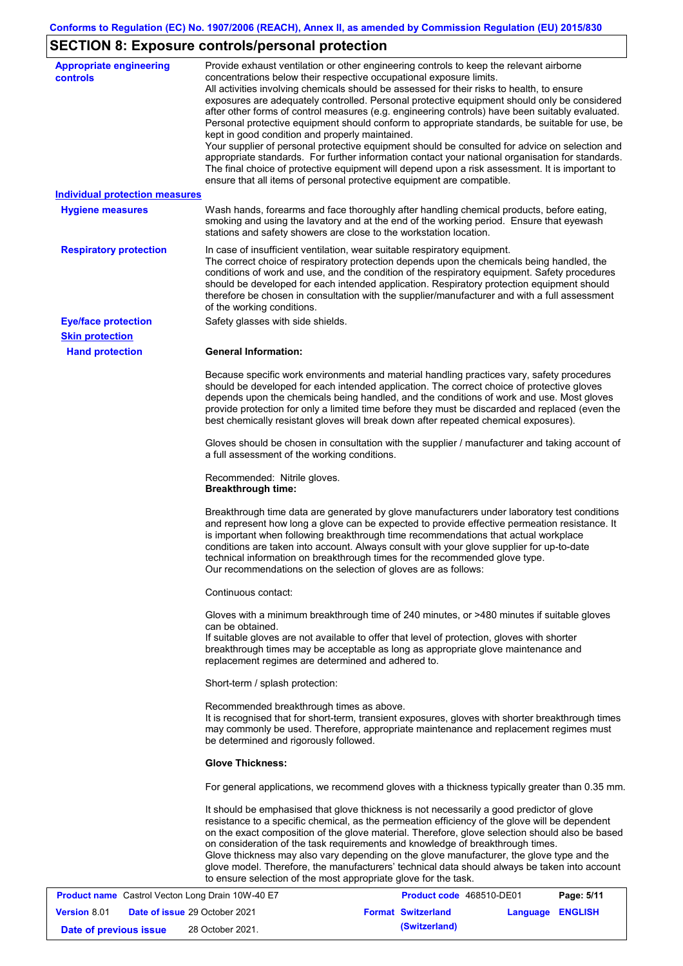# **SECTION 8: Exposure controls/personal protection**

| <b>Appropriate engineering</b><br>controls<br><b>Individual protection measures</b><br><b>Hygiene measures</b> | Provide exhaust ventilation or other engineering controls to keep the relevant airborne<br>concentrations below their respective occupational exposure limits.<br>All activities involving chemicals should be assessed for their risks to health, to ensure<br>exposures are adequately controlled. Personal protective equipment should only be considered<br>after other forms of control measures (e.g. engineering controls) have been suitably evaluated.<br>Personal protective equipment should conform to appropriate standards, be suitable for use, be<br>kept in good condition and properly maintained.<br>Your supplier of personal protective equipment should be consulted for advice on selection and<br>appropriate standards. For further information contact your national organisation for standards.<br>The final choice of protective equipment will depend upon a risk assessment. It is important to<br>ensure that all items of personal protective equipment are compatible.<br>Wash hands, forearms and face thoroughly after handling chemical products, before eating,<br>smoking and using the lavatory and at the end of the working period. Ensure that eyewash<br>stations and safety showers are close to the workstation location. |
|----------------------------------------------------------------------------------------------------------------|------------------------------------------------------------------------------------------------------------------------------------------------------------------------------------------------------------------------------------------------------------------------------------------------------------------------------------------------------------------------------------------------------------------------------------------------------------------------------------------------------------------------------------------------------------------------------------------------------------------------------------------------------------------------------------------------------------------------------------------------------------------------------------------------------------------------------------------------------------------------------------------------------------------------------------------------------------------------------------------------------------------------------------------------------------------------------------------------------------------------------------------------------------------------------------------------------------------------------------------------------------------------|
| <b>Respiratory protection</b>                                                                                  | In case of insufficient ventilation, wear suitable respiratory equipment.<br>The correct choice of respiratory protection depends upon the chemicals being handled, the<br>conditions of work and use, and the condition of the respiratory equipment. Safety procedures<br>should be developed for each intended application. Respiratory protection equipment should<br>therefore be chosen in consultation with the supplier/manufacturer and with a full assessment<br>of the working conditions.                                                                                                                                                                                                                                                                                                                                                                                                                                                                                                                                                                                                                                                                                                                                                                  |
| <b>Eye/face protection</b>                                                                                     | Safety glasses with side shields.                                                                                                                                                                                                                                                                                                                                                                                                                                                                                                                                                                                                                                                                                                                                                                                                                                                                                                                                                                                                                                                                                                                                                                                                                                      |
| <b>Skin protection</b>                                                                                         |                                                                                                                                                                                                                                                                                                                                                                                                                                                                                                                                                                                                                                                                                                                                                                                                                                                                                                                                                                                                                                                                                                                                                                                                                                                                        |
| <b>Hand protection</b>                                                                                         | <b>General Information:</b>                                                                                                                                                                                                                                                                                                                                                                                                                                                                                                                                                                                                                                                                                                                                                                                                                                                                                                                                                                                                                                                                                                                                                                                                                                            |
|                                                                                                                | Because specific work environments and material handling practices vary, safety procedures<br>should be developed for each intended application. The correct choice of protective gloves<br>depends upon the chemicals being handled, and the conditions of work and use. Most gloves<br>provide protection for only a limited time before they must be discarded and replaced (even the<br>best chemically resistant gloves will break down after repeated chemical exposures).                                                                                                                                                                                                                                                                                                                                                                                                                                                                                                                                                                                                                                                                                                                                                                                       |
|                                                                                                                | Gloves should be chosen in consultation with the supplier / manufacturer and taking account of<br>a full assessment of the working conditions.                                                                                                                                                                                                                                                                                                                                                                                                                                                                                                                                                                                                                                                                                                                                                                                                                                                                                                                                                                                                                                                                                                                         |
|                                                                                                                | Recommended: Nitrile gloves.<br><b>Breakthrough time:</b>                                                                                                                                                                                                                                                                                                                                                                                                                                                                                                                                                                                                                                                                                                                                                                                                                                                                                                                                                                                                                                                                                                                                                                                                              |
|                                                                                                                | Breakthrough time data are generated by glove manufacturers under laboratory test conditions<br>and represent how long a glove can be expected to provide effective permeation resistance. It<br>is important when following breakthrough time recommendations that actual workplace<br>conditions are taken into account. Always consult with your glove supplier for up-to-date<br>technical information on breakthrough times for the recommended glove type.<br>Our recommendations on the selection of gloves are as follows:                                                                                                                                                                                                                                                                                                                                                                                                                                                                                                                                                                                                                                                                                                                                     |
|                                                                                                                | Continuous contact:                                                                                                                                                                                                                                                                                                                                                                                                                                                                                                                                                                                                                                                                                                                                                                                                                                                                                                                                                                                                                                                                                                                                                                                                                                                    |
|                                                                                                                | Gloves with a minimum breakthrough time of 240 minutes, or >480 minutes if suitable gloves<br>can be obtained.<br>If suitable gloves are not available to offer that level of protection, gloves with shorter<br>breakthrough times may be acceptable as long as appropriate glove maintenance and<br>replacement regimes are determined and adhered to.                                                                                                                                                                                                                                                                                                                                                                                                                                                                                                                                                                                                                                                                                                                                                                                                                                                                                                               |
|                                                                                                                | Short-term / splash protection:                                                                                                                                                                                                                                                                                                                                                                                                                                                                                                                                                                                                                                                                                                                                                                                                                                                                                                                                                                                                                                                                                                                                                                                                                                        |
|                                                                                                                | Recommended breakthrough times as above.<br>It is recognised that for short-term, transient exposures, gloves with shorter breakthrough times<br>may commonly be used. Therefore, appropriate maintenance and replacement regimes must<br>be determined and rigorously followed.                                                                                                                                                                                                                                                                                                                                                                                                                                                                                                                                                                                                                                                                                                                                                                                                                                                                                                                                                                                       |
|                                                                                                                | <b>Glove Thickness:</b>                                                                                                                                                                                                                                                                                                                                                                                                                                                                                                                                                                                                                                                                                                                                                                                                                                                                                                                                                                                                                                                                                                                                                                                                                                                |
|                                                                                                                | For general applications, we recommend gloves with a thickness typically greater than 0.35 mm.                                                                                                                                                                                                                                                                                                                                                                                                                                                                                                                                                                                                                                                                                                                                                                                                                                                                                                                                                                                                                                                                                                                                                                         |
|                                                                                                                | It should be emphasised that glove thickness is not necessarily a good predictor of glove<br>resistance to a specific chemical, as the permeation efficiency of the glove will be dependent<br>on the exact composition of the glove material. Therefore, glove selection should also be based<br>on consideration of the task requirements and knowledge of breakthrough times.<br>Glove thickness may also vary depending on the glove manufacturer, the glove type and the<br>glove model. Therefore, the manufacturers' technical data should always be taken into account<br>to ensure selection of the most appropriate glove for the task.                                                                                                                                                                                                                                                                                                                                                                                                                                                                                                                                                                                                                      |
| <b>Product name</b> Castrol Vector Long Drain 10W-40 E7                                                        | <b>Product code</b> 468510-DE01<br>P <sub>2</sub> na: 5/11                                                                                                                                                                                                                                                                                                                                                                                                                                                                                                                                                                                                                                                                                                                                                                                                                                                                                                                                                                                                                                                                                                                                                                                                             |

|                        | <b>Product name</b> Castrol Vecton Long Drain 10W-40 E7 | <b>Product code</b> 468510-DE01 |                  | Page: 5/11 |
|------------------------|---------------------------------------------------------|---------------------------------|------------------|------------|
| <b>Version 8.01</b>    | <b>Date of issue 29 October 2021</b>                    | <b>Format Switzerland</b>       | Language ENGLISH |            |
| Date of previous issue | 28 October 2021.                                        | (Switzerland)                   |                  |            |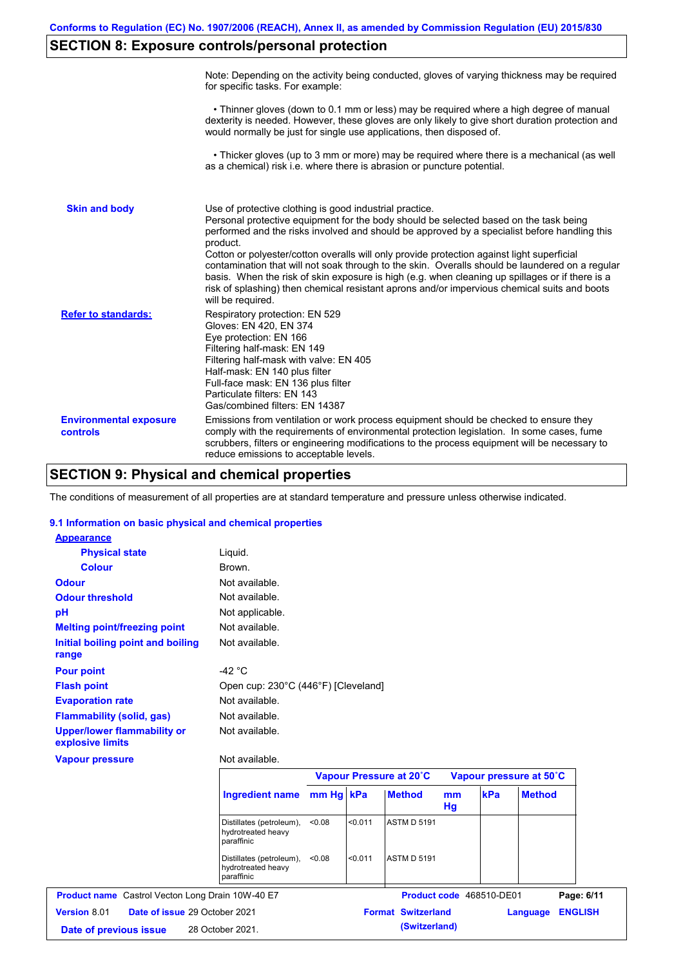# **SECTION 8: Exposure controls/personal protection**

|                                           | Note: Depending on the activity being conducted, gloves of varying thickness may be required<br>for specific tasks. For example:                                                                                                                                                                                                                                                                                                                                                                                                                                                                                                                                                      |
|-------------------------------------------|---------------------------------------------------------------------------------------------------------------------------------------------------------------------------------------------------------------------------------------------------------------------------------------------------------------------------------------------------------------------------------------------------------------------------------------------------------------------------------------------------------------------------------------------------------------------------------------------------------------------------------------------------------------------------------------|
|                                           | • Thinner gloves (down to 0.1 mm or less) may be required where a high degree of manual<br>dexterity is needed. However, these gloves are only likely to give short duration protection and<br>would normally be just for single use applications, then disposed of.                                                                                                                                                                                                                                                                                                                                                                                                                  |
|                                           | • Thicker gloves (up to 3 mm or more) may be required where there is a mechanical (as well<br>as a chemical) risk i.e. where there is abrasion or puncture potential.                                                                                                                                                                                                                                                                                                                                                                                                                                                                                                                 |
| <b>Skin and body</b>                      | Use of protective clothing is good industrial practice.<br>Personal protective equipment for the body should be selected based on the task being<br>performed and the risks involved and should be approved by a specialist before handling this<br>product.<br>Cotton or polyester/cotton overalls will only provide protection against light superficial<br>contamination that will not soak through to the skin. Overalls should be laundered on a regular<br>basis. When the risk of skin exposure is high (e.g. when cleaning up spillages or if there is a<br>risk of splashing) then chemical resistant aprons and/or impervious chemical suits and boots<br>will be required. |
| <b>Refer to standards:</b>                | Respiratory protection: EN 529<br>Gloves: EN 420, EN 374<br>Eye protection: EN 166<br>Filtering half-mask: EN 149<br>Filtering half-mask with valve: EN 405<br>Half-mask: EN 140 plus filter<br>Full-face mask: EN 136 plus filter<br>Particulate filters: EN 143<br>Gas/combined filters: EN 14387                                                                                                                                                                                                                                                                                                                                                                                   |
| <b>Environmental exposure</b><br>controls | Emissions from ventilation or work process equipment should be checked to ensure they<br>comply with the requirements of environmental protection legislation. In some cases, fume<br>scrubbers, filters or engineering modifications to the process equipment will be necessary to<br>reduce emissions to acceptable levels.                                                                                                                                                                                                                                                                                                                                                         |

# **SECTION 9: Physical and chemical properties**

The conditions of measurement of all properties are at standard temperature and pressure unless otherwise indicated.

### **9.1 Information on basic physical and chemical properties**

| <b>Appearance</b>                                       |                                                              |           |         |                         |          |                          |                         |
|---------------------------------------------------------|--------------------------------------------------------------|-----------|---------|-------------------------|----------|--------------------------|-------------------------|
| <b>Physical state</b>                                   | Liquid.                                                      |           |         |                         |          |                          |                         |
| <b>Colour</b>                                           | Brown.                                                       |           |         |                         |          |                          |                         |
| <b>Odour</b>                                            | Not available.                                               |           |         |                         |          |                          |                         |
| <b>Odour threshold</b>                                  | Not available.                                               |           |         |                         |          |                          |                         |
| pH                                                      | Not applicable.                                              |           |         |                         |          |                          |                         |
| <b>Melting point/freezing point</b>                     | Not available.                                               |           |         |                         |          |                          |                         |
| Initial boiling point and boiling<br>range              | Not available.                                               |           |         |                         |          |                          |                         |
| <b>Pour point</b>                                       | -42 $^{\circ}$ C                                             |           |         |                         |          |                          |                         |
| <b>Flash point</b>                                      | Open cup: 230°C (446°F) [Cleveland]                          |           |         |                         |          |                          |                         |
| <b>Evaporation rate</b>                                 | Not available.                                               |           |         |                         |          |                          |                         |
| <b>Flammability (solid, gas)</b>                        | Not available.                                               |           |         |                         |          |                          |                         |
| <b>Upper/lower flammability or</b><br>explosive limits  | Not available.                                               |           |         |                         |          |                          |                         |
| <b>Vapour pressure</b>                                  | Not available.                                               |           |         |                         |          |                          |                         |
|                                                         |                                                              |           |         | Vapour Pressure at 20°C |          |                          | Vapour pressure at 50°C |
|                                                         | <b>Ingredient name</b>                                       | mm Hg kPa |         | <b>Method</b>           | mm<br>Hg | kPa                      | <b>Method</b>           |
|                                                         | Distillates (petroleum),<br>hydrotreated heavy<br>paraffinic | < 0.08    | < 0.011 | <b>ASTM D 5191</b>      |          |                          |                         |
|                                                         | Distillates (petroleum),<br>hydrotreated heavy<br>paraffinic | < 0.08    | < 0.011 | <b>ASTM D 5191</b>      |          |                          |                         |
| <b>Product name</b> Castrol Vecton Long Drain 10W-40 E7 |                                                              |           |         |                         |          | Product code 468510-DE01 | Page: 6/11              |
|                                                         |                                                              |           |         |                         |          |                          |                         |

**Date of issue** 29 October 2021 **Format Switzerland Language ENGLISH**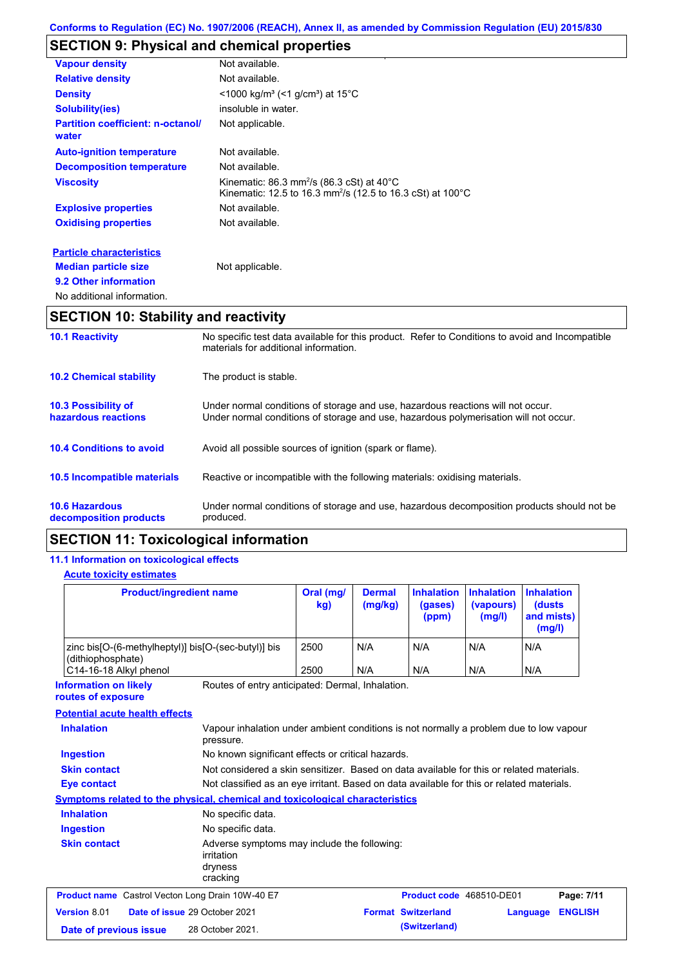# **SECTION 9: Physical and chemical properties**

| <b>Vapour density</b>                             | Not available.                                                                                                                                 |
|---------------------------------------------------|------------------------------------------------------------------------------------------------------------------------------------------------|
| <b>Relative density</b>                           | Not available.                                                                                                                                 |
| <b>Density</b>                                    | <1000 kg/m <sup>3</sup> (<1 g/cm <sup>3</sup> ) at 15°C                                                                                        |
| <b>Solubility(ies)</b>                            | insoluble in water.                                                                                                                            |
| <b>Partition coefficient: n-octanol/</b><br>water | Not applicable.                                                                                                                                |
| <b>Auto-ignition temperature</b>                  | Not available.                                                                                                                                 |
| <b>Decomposition temperature</b>                  | Not available.                                                                                                                                 |
| <b>Viscosity</b>                                  | Kinematic: $86.3$ mm <sup>2</sup> /s ( $86.3$ cSt) at $40^{\circ}$ C<br>Kinematic: 12.5 to 16.3 mm <sup>2</sup> /s (12.5 to 16.3 cSt) at 100°C |
| <b>Explosive properties</b>                       | Not available.                                                                                                                                 |
| <b>Oxidising properties</b>                       | Not available.                                                                                                                                 |
| <b>Particle characteristics</b>                   |                                                                                                                                                |
| <b>Median particle size</b>                       | Not applicable.                                                                                                                                |
| 9.2 Other information                             |                                                                                                                                                |
| No additional information.                        |                                                                                                                                                |

# **SECTION 10: Stability and reactivity**

| <b>10.1 Reactivity</b>                            | No specific test data available for this product. Refer to Conditions to avoid and Incompatible<br>materials for additional information.                                |
|---------------------------------------------------|-------------------------------------------------------------------------------------------------------------------------------------------------------------------------|
| <b>10.2 Chemical stability</b>                    | The product is stable.                                                                                                                                                  |
| <b>10.3 Possibility of</b><br>hazardous reactions | Under normal conditions of storage and use, hazardous reactions will not occur.<br>Under normal conditions of storage and use, hazardous polymerisation will not occur. |
| <b>10.4 Conditions to avoid</b>                   | Avoid all possible sources of ignition (spark or flame).                                                                                                                |
| 10.5 Incompatible materials                       | Reactive or incompatible with the following materials: oxidising materials.                                                                                             |
| <b>10.6 Hazardous</b><br>decomposition products   | Under normal conditions of storage and use, hazardous decomposition products should not be<br>produced.                                                                 |

# **SECTION 11: Toxicological information**

### **11.1 Information on toxicological effects**

### **Acute toxicity estimates**

| <b>Product/ingredient name</b>                                           | Oral (mg/<br>kg) | <b>Dermal</b><br>(mg/kg) | <b>Inhalation</b><br>(gases)<br>(ppm) | <b>Inhalation</b><br>(vapours)<br>(mg/l) | <b>Inhalation</b><br>(dusts)<br>and mists)<br>(mg/l) |
|--------------------------------------------------------------------------|------------------|--------------------------|---------------------------------------|------------------------------------------|------------------------------------------------------|
| zinc bis[O-(6-methylheptyl)] bis[O-(sec-butyl)] bis<br>(dithiophosphate) | 2500             | N/A                      | N/A                                   | N/A                                      | N/A                                                  |
| C14-16-18 Alkyl phenol                                                   | 2500             | N/A                      | N/A                                   | N/A                                      | N/A                                                  |

**Information on likely routes of exposure**

Routes of entry anticipated: Dermal, Inhalation.

#### **Potential acute health effects**

| <b>Inhalation</b>                                       | Vapour inhalation under ambient conditions is not normally a problem due to low vapour<br>pressure. |                                                                                          |          |                |
|---------------------------------------------------------|-----------------------------------------------------------------------------------------------------|------------------------------------------------------------------------------------------|----------|----------------|
| <b>Ingestion</b>                                        | No known significant effects or critical hazards.                                                   |                                                                                          |          |                |
| <b>Skin contact</b>                                     |                                                                                                     | Not considered a skin sensitizer. Based on data available for this or related materials. |          |                |
| Eye contact                                             | Not classified as an eye irritant. Based on data available for this or related materials.           |                                                                                          |          |                |
|                                                         | Symptoms related to the physical, chemical and toxicological characteristics                        |                                                                                          |          |                |
| <b>Inhalation</b>                                       | No specific data.                                                                                   |                                                                                          |          |                |
| <b>Ingestion</b>                                        | No specific data.                                                                                   |                                                                                          |          |                |
| <b>Skin contact</b>                                     | Adverse symptoms may include the following:<br>irritation<br>dryness<br>cracking                    |                                                                                          |          |                |
| <b>Product name</b> Castrol Vecton Long Drain 10W-40 E7 |                                                                                                     | Product code 468510-DE01                                                                 |          | Page: 7/11     |
| Version 8.01                                            | Date of issue 29 October 2021                                                                       | <b>Format Switzerland</b>                                                                | Language | <b>ENGLISH</b> |
| Date of previous issue                                  | 28 October 2021.                                                                                    | (Switzerland)                                                                            |          |                |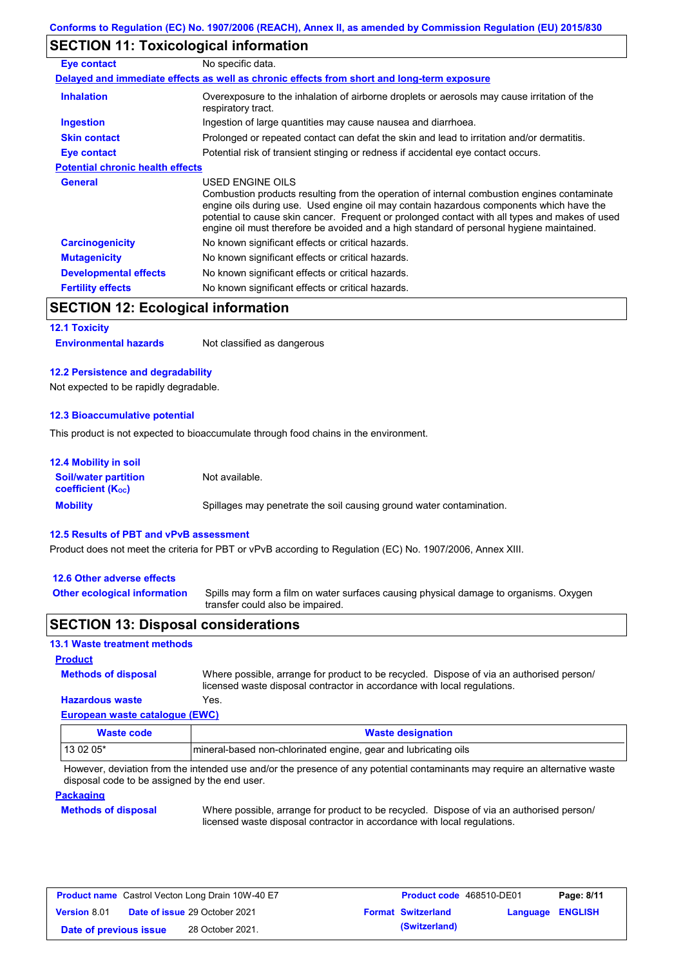# **SECTION 11: Toxicological information**

| Eye contact                             | No specific data.                                                                                                                                                                                                                                                                                                                                                                                        |
|-----------------------------------------|----------------------------------------------------------------------------------------------------------------------------------------------------------------------------------------------------------------------------------------------------------------------------------------------------------------------------------------------------------------------------------------------------------|
|                                         | Delayed and immediate effects as well as chronic effects from short and long-term exposure                                                                                                                                                                                                                                                                                                               |
| <b>Inhalation</b>                       | Overexposure to the inhalation of airborne droplets or aerosols may cause irritation of the<br>respiratory tract.                                                                                                                                                                                                                                                                                        |
| <b>Ingestion</b>                        | Ingestion of large quantities may cause nausea and diarrhoea.                                                                                                                                                                                                                                                                                                                                            |
| <b>Skin contact</b>                     | Prolonged or repeated contact can defat the skin and lead to irritation and/or dermatitis.                                                                                                                                                                                                                                                                                                               |
| Eye contact                             | Potential risk of transient stinging or redness if accidental eye contact occurs.                                                                                                                                                                                                                                                                                                                        |
| <b>Potential chronic health effects</b> |                                                                                                                                                                                                                                                                                                                                                                                                          |
| General                                 | USED ENGINE OILS<br>Combustion products resulting from the operation of internal combustion engines contaminate<br>engine oils during use. Used engine oil may contain hazardous components which have the<br>potential to cause skin cancer. Frequent or prolonged contact with all types and makes of used<br>engine oil must therefore be avoided and a high standard of personal hygiene maintained. |
| <b>Carcinogenicity</b>                  | No known significant effects or critical hazards.                                                                                                                                                                                                                                                                                                                                                        |
| <b>Mutagenicity</b>                     | No known significant effects or critical hazards.                                                                                                                                                                                                                                                                                                                                                        |
| <b>Developmental effects</b>            | No known significant effects or critical hazards.                                                                                                                                                                                                                                                                                                                                                        |
| <b>Fertility effects</b>                | No known significant effects or critical hazards.                                                                                                                                                                                                                                                                                                                                                        |

# **SECTION 12: Ecological information**

#### **12.1 Toxicity**

**Environmental hazards** Not classified as dangerous

#### **12.2 Persistence and degradability**

Not expected to be rapidly degradable.

#### **12.3 Bioaccumulative potential**

This product is not expected to bioaccumulate through food chains in the environment.

| <b>12.4 Mobility in soil</b>                                  |                                                                      |
|---------------------------------------------------------------|----------------------------------------------------------------------|
| <b>Soil/water partition</b><br>coefficient (K <sub>oc</sub> ) | Not available.                                                       |
| <b>Mobility</b>                                               | Spillages may penetrate the soil causing ground water contamination. |

#### **12.5 Results of PBT and vPvB assessment**

Product does not meet the criteria for PBT or vPvB according to Regulation (EC) No. 1907/2006, Annex XIII.

#### **12.6 Other adverse effects**

**Other ecological information**

Spills may form a film on water surfaces causing physical damage to organisms. Oxygen transfer could also be impaired.

### **SECTION 13: Disposal considerations**

#### **13.1 Waste treatment methods**

**Methods of disposal**

**Product**

**Hazardous waste** Yes. Where possible, arrange for product to be recycled. Dispose of via an authorised person/ licensed waste disposal contractor in accordance with local regulations.

#### **European waste catalogue (EWC)**

| Waste code | <b>Waste designation</b>                                        |
|------------|-----------------------------------------------------------------|
| 13 02 05*  | mineral-based non-chlorinated engine, gear and lubricating oils |

However, deviation from the intended use and/or the presence of any potential contaminants may require an alternative waste disposal code to be assigned by the end user.

#### **Packaging**

#### **Methods of disposal**

Where possible, arrange for product to be recycled. Dispose of via an authorised person/ licensed waste disposal contractor in accordance with local regulations.

| <b>Product name</b> Castrol Vecton Long Drain 10W-40 E7 |                                      | <b>Product code</b> 468510-DE01 |                           | Page: 8/11              |  |
|---------------------------------------------------------|--------------------------------------|---------------------------------|---------------------------|-------------------------|--|
| <b>Version 8.01</b>                                     | <b>Date of issue 29 October 2021</b> |                                 | <b>Format Switzerland</b> | <b>Language ENGLISH</b> |  |
| Date of previous issue                                  | 28 October 2021.                     |                                 | (Switzerland)             |                         |  |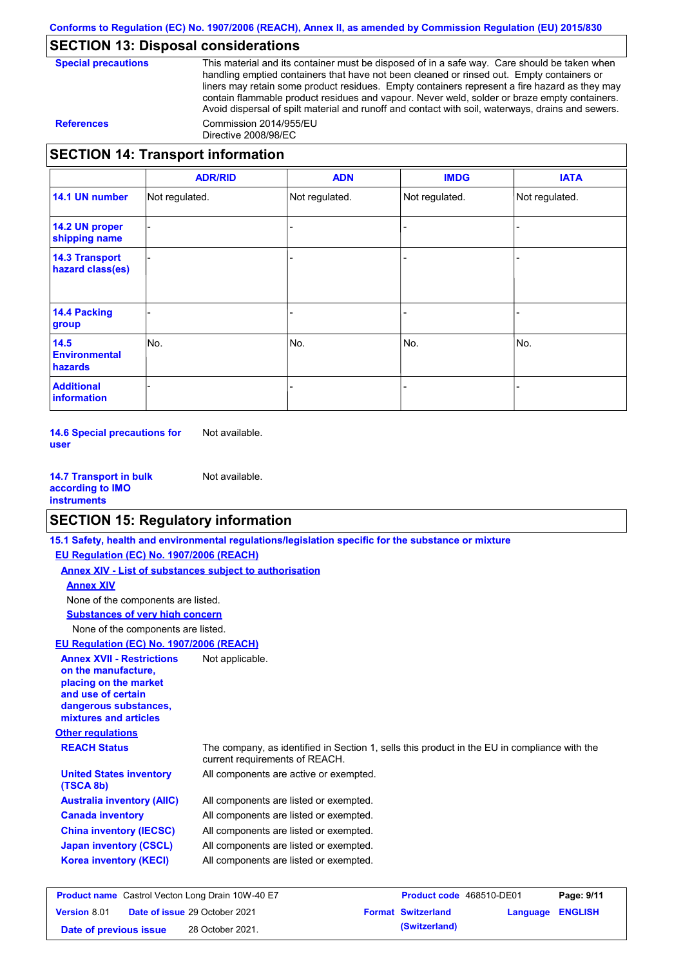# **SECTION 13: Disposal considerations**

**Special precautions** This material and its container must be disposed of in a safe way. Care should be taken when handling emptied containers that have not been cleaned or rinsed out. Empty containers or liners may retain some product residues. Empty containers represent a fire hazard as they may contain flammable product residues and vapour. Never weld, solder or braze empty containers. Avoid dispersal of spilt material and runoff and contact with soil, waterways, drains and sewers. **References** Commission 2014/955/EU Directive 2008/98/EC

**SECTION 14: Transport information**

|                                           | <b>ADR/RID</b> | <b>ADN</b>     | <b>IMDG</b>    | <b>IATA</b>    |
|-------------------------------------------|----------------|----------------|----------------|----------------|
| 14.1 UN number                            | Not regulated. | Not regulated. | Not regulated. | Not regulated. |
| 14.2 UN proper<br>shipping name           |                |                |                |                |
| <b>14.3 Transport</b><br>hazard class(es) |                |                |                |                |
| 14.4 Packing<br>group                     |                |                |                |                |
| 14.5<br><b>Environmental</b><br>hazards   | No.            | No.            | No.            | No.            |
| <b>Additional</b><br>information          |                |                |                |                |

**14.6 Special precautions for user** Not available.

**14.7 Transport in bulk according to IMO instruments** Not available.

# **SECTION 15: Regulatory information**

|                                                                                                                                                          | 15.1 Safety, health and environmental regulations/legislation specific for the substance or mixture                            |                          |            |
|----------------------------------------------------------------------------------------------------------------------------------------------------------|--------------------------------------------------------------------------------------------------------------------------------|--------------------------|------------|
| EU Regulation (EC) No. 1907/2006 (REACH)                                                                                                                 |                                                                                                                                |                          |            |
| Annex XIV - List of substances subject to authorisation                                                                                                  |                                                                                                                                |                          |            |
| <b>Annex XIV</b>                                                                                                                                         |                                                                                                                                |                          |            |
| None of the components are listed.                                                                                                                       |                                                                                                                                |                          |            |
| <b>Substances of very high concern</b>                                                                                                                   |                                                                                                                                |                          |            |
| None of the components are listed.                                                                                                                       |                                                                                                                                |                          |            |
| EU Regulation (EC) No. 1907/2006 (REACH)                                                                                                                 |                                                                                                                                |                          |            |
| <b>Annex XVII - Restrictions</b><br>on the manufacture.<br>placing on the market<br>and use of certain<br>dangerous substances,<br>mixtures and articles | Not applicable.                                                                                                                |                          |            |
| <b>Other regulations</b>                                                                                                                                 |                                                                                                                                |                          |            |
| <b>REACH Status</b>                                                                                                                                      | The company, as identified in Section 1, sells this product in the EU in compliance with the<br>current requirements of REACH. |                          |            |
| <b>United States inventory</b><br>(TSCA 8b)                                                                                                              | All components are active or exempted.                                                                                         |                          |            |
| <b>Australia inventory (AIIC)</b>                                                                                                                        | All components are listed or exempted.                                                                                         |                          |            |
| <b>Canada inventory</b>                                                                                                                                  | All components are listed or exempted.                                                                                         |                          |            |
| <b>China inventory (IECSC)</b>                                                                                                                           | All components are listed or exempted.                                                                                         |                          |            |
| <b>Japan inventory (CSCL)</b>                                                                                                                            | All components are listed or exempted.                                                                                         |                          |            |
| <b>Korea inventory (KECI)</b>                                                                                                                            | All components are listed or exempted.                                                                                         |                          |            |
| Product name Castrol Vecton Long Drain 10W-40 E7                                                                                                         |                                                                                                                                | Product code 468510-DE01 | Page: 9/11 |

|                        | <b>Product name</b> Castrol Vecton Long Drain 10W-40 E/ | <b>Product code</b> 468510-DE01 |                  | Page: 9/11 |
|------------------------|---------------------------------------------------------|---------------------------------|------------------|------------|
| <b>Version 8.01</b>    | <b>Date of issue 29 October 2021</b>                    | <b>Format Switzerland</b>       | Language ENGLISH |            |
| Date of previous issue | 28 October 2021.                                        | (Switzerland)                   |                  |            |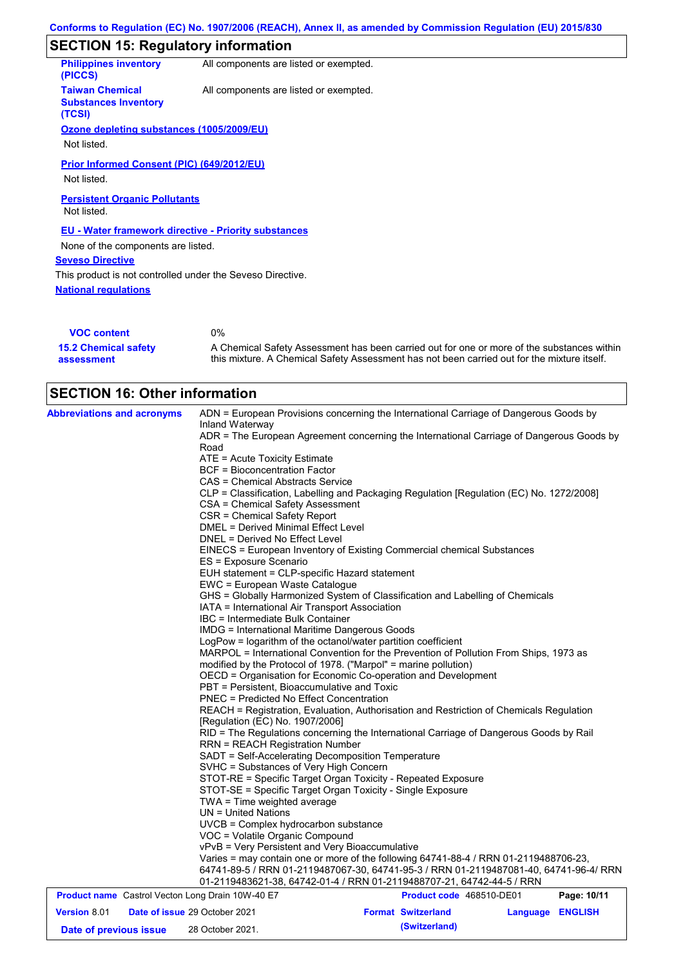# **SECTION 15: Regulatory information**

| <b>Philippines inventory</b><br>(PICCS)                         | All components are listed or exempted.                      |
|-----------------------------------------------------------------|-------------------------------------------------------------|
| <b>Taiwan Chemical</b><br><b>Substances Inventory</b><br>(TCSI) | All components are listed or exempted.                      |
| Ozone depleting substances (1005/2009/EU)                       |                                                             |
| Not listed.                                                     |                                                             |
| Prior Informed Consent (PIC) (649/2012/EU)<br>Not listed.       |                                                             |
| <b>Persistent Organic Pollutants</b><br>Not listed.             |                                                             |
|                                                                 | <b>EU - Water framework directive - Priority substances</b> |
| None of the components are listed.                              |                                                             |
| <b>Seveso Directive</b>                                         |                                                             |
| This product is not controlled under the Seveso Directive.      |                                                             |
| <b>National regulations</b>                                     |                                                             |
|                                                                 |                                                             |
| <b>VOC content</b>                                              | $0\%$                                                       |

| <b>VOC content</b>          | U%                                                                                          |
|-----------------------------|---------------------------------------------------------------------------------------------|
| <b>15.2 Chemical safety</b> | A Chemical Safety Assessment has been carried out for one or more of the substances within  |
| assessment                  | this mixture. A Chemical Safety Assessment has not been carried out for the mixture itself. |

|                                                         | <b>SECTION 16: Other information</b>                                                                                                                                                                                                                                                                                                                                                                                                                                                                                                                                                                                                                                                                                                                                                                                                                                                                                                                                                                  |                                                                                                                                                                                                                                                                                                                                                                                                                                                                                                                                                                                                                                                                                                                                                                                                                                                                                                                            |          |                |  |
|---------------------------------------------------------|-------------------------------------------------------------------------------------------------------------------------------------------------------------------------------------------------------------------------------------------------------------------------------------------------------------------------------------------------------------------------------------------------------------------------------------------------------------------------------------------------------------------------------------------------------------------------------------------------------------------------------------------------------------------------------------------------------------------------------------------------------------------------------------------------------------------------------------------------------------------------------------------------------------------------------------------------------------------------------------------------------|----------------------------------------------------------------------------------------------------------------------------------------------------------------------------------------------------------------------------------------------------------------------------------------------------------------------------------------------------------------------------------------------------------------------------------------------------------------------------------------------------------------------------------------------------------------------------------------------------------------------------------------------------------------------------------------------------------------------------------------------------------------------------------------------------------------------------------------------------------------------------------------------------------------------------|----------|----------------|--|
| <b>Abbreviations and acronyms</b>                       | Inland Waterway<br>Road<br>ATE = Acute Toxicity Estimate<br>BCF = Bioconcentration Factor<br>CAS = Chemical Abstracts Service<br>CSA = Chemical Safety Assessment<br>CSR = Chemical Safety Report<br><b>DMEL = Derived Minimal Effect Level</b><br>DNEL = Derived No Effect Level<br>ES = Exposure Scenario<br>EUH statement = CLP-specific Hazard statement<br>EWC = European Waste Catalogue<br>IATA = International Air Transport Association<br>IBC = Intermediate Bulk Container<br>IMDG = International Maritime Dangerous Goods<br>LogPow = logarithm of the octanol/water partition coefficient<br>PBT = Persistent, Bioaccumulative and Toxic<br>PNEC = Predicted No Effect Concentration<br>[Regulation (EC) No. 1907/2006]<br><b>RRN = REACH Registration Number</b><br>SADT = Self-Accelerating Decomposition Temperature<br>SVHC = Substances of Very High Concern<br>STOT-SE = Specific Target Organ Toxicity - Single Exposure<br>TWA = Time weighted average<br>$UN = United Nations$ | ADN = European Provisions concerning the International Carriage of Dangerous Goods by<br>ADR = The European Agreement concerning the International Carriage of Dangerous Goods by<br>CLP = Classification, Labelling and Packaging Regulation [Regulation (EC) No. 1272/2008]<br>EINECS = European Inventory of Existing Commercial chemical Substances<br>GHS = Globally Harmonized System of Classification and Labelling of Chemicals<br>MARPOL = International Convention for the Prevention of Pollution From Ships, 1973 as<br>modified by the Protocol of 1978. ("Marpol" = marine pollution)<br>OECD = Organisation for Economic Co-operation and Development<br>REACH = Registration, Evaluation, Authorisation and Restriction of Chemicals Regulation<br>RID = The Regulations concerning the International Carriage of Dangerous Goods by Rail<br>STOT-RE = Specific Target Organ Toxicity - Repeated Exposure |          |                |  |
|                                                         | UVCB = Complex hydrocarbon substance<br>VOC = Volatile Organic Compound<br>vPvB = Very Persistent and Very Bioaccumulative                                                                                                                                                                                                                                                                                                                                                                                                                                                                                                                                                                                                                                                                                                                                                                                                                                                                            | Varies = may contain one or more of the following 64741-88-4 / RRN 01-2119488706-23,<br>64741-89-5 / RRN 01-2119487067-30, 64741-95-3 / RRN 01-2119487081-40, 64741-96-4/ RRN<br>01-2119483621-38, 64742-01-4 / RRN 01-2119488707-21, 64742-44-5 / RRN                                                                                                                                                                                                                                                                                                                                                                                                                                                                                                                                                                                                                                                                     |          |                |  |
| <b>Product name</b> Castrol Vecton Long Drain 10W-40 E7 |                                                                                                                                                                                                                                                                                                                                                                                                                                                                                                                                                                                                                                                                                                                                                                                                                                                                                                                                                                                                       | Product code 468510-DE01                                                                                                                                                                                                                                                                                                                                                                                                                                                                                                                                                                                                                                                                                                                                                                                                                                                                                                   |          | Page: 10/11    |  |
| Version 8.01                                            | Date of issue 29 October 2021                                                                                                                                                                                                                                                                                                                                                                                                                                                                                                                                                                                                                                                                                                                                                                                                                                                                                                                                                                         | <b>Format Switzerland</b>                                                                                                                                                                                                                                                                                                                                                                                                                                                                                                                                                                                                                                                                                                                                                                                                                                                                                                  | Language | <b>ENGLISH</b> |  |
| Date of previous issue                                  | 28 October 2021.                                                                                                                                                                                                                                                                                                                                                                                                                                                                                                                                                                                                                                                                                                                                                                                                                                                                                                                                                                                      | (Switzerland)                                                                                                                                                                                                                                                                                                                                                                                                                                                                                                                                                                                                                                                                                                                                                                                                                                                                                                              |          |                |  |